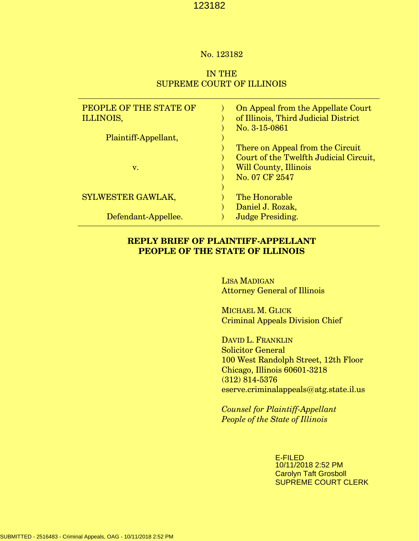## No. 123182

# IN THE SUPREME COURT OF ILLINOIS

| PEOPLE OF THE STATE OF<br>ILLINOIS, | On Appeal from the Appellate Court<br>of Illinois, Third Judicial District<br>No. 3-15-0861 |
|-------------------------------------|---------------------------------------------------------------------------------------------|
| Plaintiff-Appellant,                |                                                                                             |
|                                     | There on Appeal from the Circuit                                                            |
|                                     | Court of the Twelfth Judicial Circuit,                                                      |
| v.                                  | Will County, Illinois                                                                       |
|                                     | No. 07 CF 2547                                                                              |
|                                     |                                                                                             |
| SYLWESTER GAWLAK,                   | The Honorable                                                                               |
|                                     | Daniel J. Rozak,                                                                            |
| Defendant-Appellee.                 | <b>Judge Presiding.</b>                                                                     |

# **REPLY BRIEF OF PLAINTIFF-APPELLANT PEOPLE OF THE STATE OF ILLINOIS**

 LISA MADIGAN Attorney General of Illinois

 MICHAEL M. GLICK Criminal Appeals Division Chief

 DAVID L. FRANKLIN Solicitor General 100 West Randolph Street, 12th Floor Chicago, Illinois 60601-3218 (312) 814-5376 eserve.criminalappeals@atg.state.il.us

 *Counsel for Plaintiff-Appellant People of the State of Illinois*

> E-FILED 10/11/2018 2:52 PM Carolyn Taft Grosboll SUPREME COURT CLERK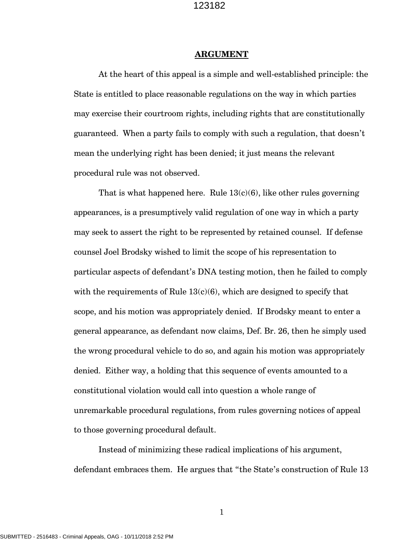#### **ARGUMENT**

At the heart of this appeal is a simple and well-established principle: the State is entitled to place reasonable regulations on the way in which parties may exercise their courtroom rights, including rights that are constitutionally guaranteed. When a party fails to comply with such a regulation, that doesn't mean the underlying right has been denied; it just means the relevant procedural rule was not observed.

That is what happened here. Rule  $13(c)(6)$ , like other rules governing appearances, is a presumptively valid regulation of one way in which a party may seek to assert the right to be represented by retained counsel. If defense counsel Joel Brodsky wished to limit the scope of his representation to particular aspects of defendant's DNA testing motion, then he failed to comply with the requirements of Rule  $13(c)(6)$ , which are designed to specify that scope, and his motion was appropriately denied. If Brodsky meant to enter a general appearance, as defendant now claims, Def. Br. 26, then he simply used the wrong procedural vehicle to do so, and again his motion was appropriately denied. Either way, a holding that this sequence of events amounted to a constitutional violation would call into question a whole range of unremarkable procedural regulations, from rules governing notices of appeal to those governing procedural default.

Instead of minimizing these radical implications of his argument, defendant embraces them. He argues that "the State's construction of Rule 13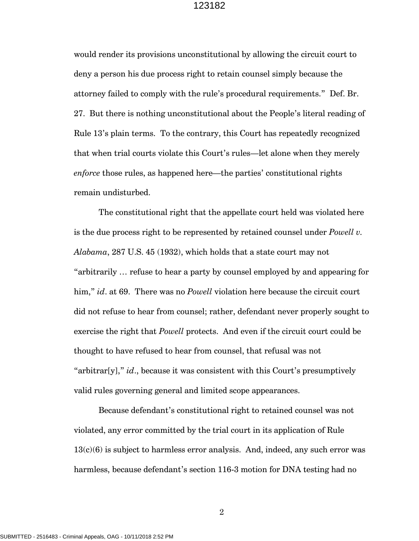would render its provisions unconstitutional by allowing the circuit court to deny a person his due process right to retain counsel simply because the attorney failed to comply with the rule's procedural requirements." Def. Br. 27. But there is nothing unconstitutional about the People's literal reading of Rule 13's plain terms. To the contrary, this Court has repeatedly recognized that when trial courts violate this Court's rules—let alone when they merely *enforce* those rules, as happened here—the parties' constitutional rights remain undisturbed.

The constitutional right that the appellate court held was violated here is the due process right to be represented by retained counsel under *Powell v. Alabama*, 287 U.S. 45 (1932), which holds that a state court may not "arbitrarily … refuse to hear a party by counsel employed by and appearing for him," *id*. at 69. There was no *Powell* violation here because the circuit court did not refuse to hear from counsel; rather, defendant never properly sought to exercise the right that *Powell* protects. And even if the circuit court could be thought to have refused to hear from counsel, that refusal was not "arbitrar[y]," *id*., because it was consistent with this Court's presumptively valid rules governing general and limited scope appearances.

Because defendant's constitutional right to retained counsel was not violated, any error committed by the trial court in its application of Rule  $13(c)(6)$  is subject to harmless error analysis. And, indeed, any such error was harmless, because defendant's section 116-3 motion for DNA testing had no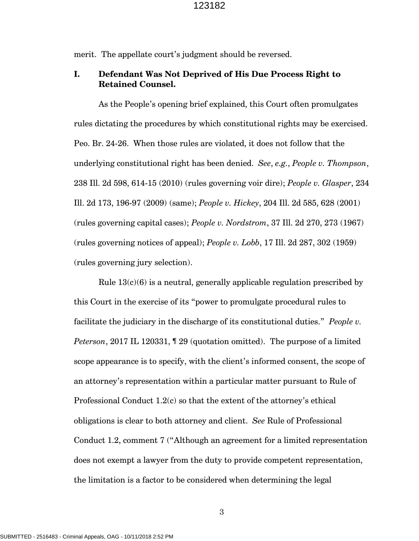merit. The appellate court's judgment should be reversed.

## **I. Defendant Was Not Deprived of His Due Process Right to Retained Counsel.**

As the People's opening brief explained, this Court often promulgates rules dictating the procedures by which constitutional rights may be exercised. Peo. Br. 24-26. When those rules are violated, it does not follow that the underlying constitutional right has been denied. *See*, *e.g.*, *People v. Thompson*, 238 Ill. 2d 598, 614-15 (2010) (rules governing voir dire); *People v. Glasper*, 234 Ill. 2d 173, 196-97 (2009) (same); *People v. Hickey*, 204 Ill. 2d 585, 628 (2001) (rules governing capital cases); *People v. Nordstrom*, 37 Ill. 2d 270, 273 (1967) (rules governing notices of appeal); *People v. Lobb*, 17 Ill. 2d 287, 302 (1959) (rules governing jury selection).

Rule  $13(c)(6)$  is a neutral, generally applicable regulation prescribed by this Court in the exercise of its "power to promulgate procedural rules to facilitate the judiciary in the discharge of its constitutional duties." *People v. Peterson*, 2017 IL 120331, ¶ 29 (quotation omitted). The purpose of a limited scope appearance is to specify, with the client's informed consent, the scope of an attorney's representation within a particular matter pursuant to Rule of Professional Conduct 1.2(c) so that the extent of the attorney's ethical obligations is clear to both attorney and client. *See* Rule of Professional Conduct 1.2, comment 7 ("Although an agreement for a limited representation does not exempt a lawyer from the duty to provide competent representation, the limitation is a factor to be considered when determining the legal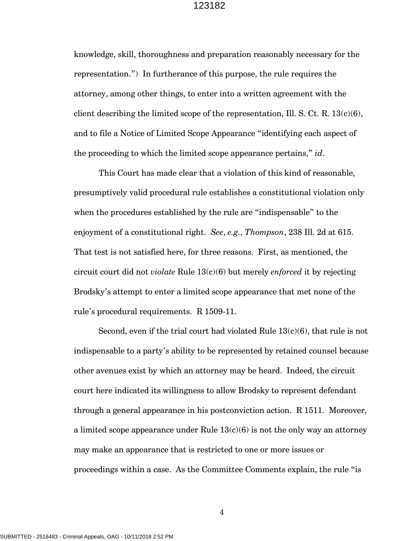knowledge, skill, thoroughness and preparation reasonably necessary for the representation.") In furtherance of this purpose, the rule requires the attorney, among other things, to enter into a written agreement with the client describing the limited scope of the representation, Ill. S. Ct. R.  $13(c)(6)$ , and to file a Notice of Limited Scope Appearance "identifying each aspect of the proceeding to which the limited scope appearance pertains," *id*.

This Court has made clear that a violation of this kind of reasonable, presumptively valid procedural rule establishes a constitutional violation only when the procedures established by the rule are "indispensable" to the enjoyment of a constitutional right. *See*, *e.g.*, *Thompson*, 238 Ill. 2d at 615. That test is not satisfied here, for three reasons. First, as mentioned, the circuit court did not *violate* Rule 13(c)(6) but merely *enforced* it by rejecting Brodsky's attempt to enter a limited scope appearance that met none of the rule's procedural requirements. R 1509-11.

Second, even if the trial court had violated Rule  $13(c)(6)$ , that rule is not indispensable to a party's ability to be represented by retained counsel because other avenues exist by which an attorney may be heard. Indeed, the circuit court here indicated its willingness to allow Brodsky to represent defendant through a general appearance in his postconviction action. R 1511. Moreover, a limited scope appearance under Rule  $13(c)(6)$  is not the only way an attorney may make an appearance that is restricted to one or more issues or proceedings within a case. As the Committee Comments explain, the rule "is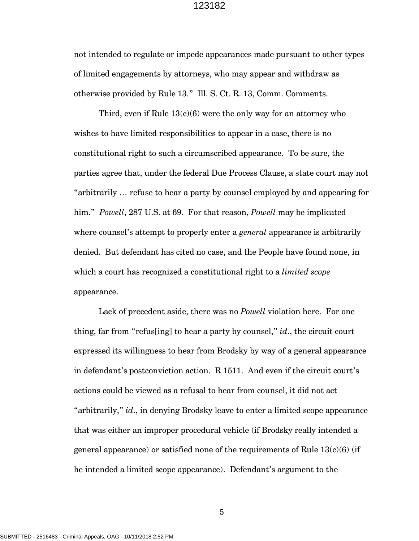not intended to regulate or impede appearances made pursuant to other types of limited engagements by attorneys, who may appear and withdraw as otherwise provided by Rule 13." Ill. S. Ct. R. 13, Comm. Comments.

Third, even if Rule  $13(c)(6)$  were the only way for an attorney who wishes to have limited responsibilities to appear in a case, there is no constitutional right to such a circumscribed appearance. To be sure, the parties agree that, under the federal Due Process Clause, a state court may not "arbitrarily … refuse to hear a party by counsel employed by and appearing for him." *Powell*, 287 U.S. at 69. For that reason, *Powell* may be implicated where counsel's attempt to properly enter a *general* appearance is arbitrarily denied. But defendant has cited no case, and the People have found none, in which a court has recognized a constitutional right to a *limited scope* appearance.

Lack of precedent aside, there was no *Powell* violation here. For one thing, far from "refus[ing] to hear a party by counsel," *id*., the circuit court expressed its willingness to hear from Brodsky by way of a general appearance in defendant's postconviction action. R 1511. And even if the circuit court's actions could be viewed as a refusal to hear from counsel, it did not act "arbitrarily," *id*., in denying Brodsky leave to enter a limited scope appearance that was either an improper procedural vehicle (if Brodsky really intended a general appearance) or satisfied none of the requirements of Rule  $13(c)(6)$  (if he intended a limited scope appearance). Defendant's argument to the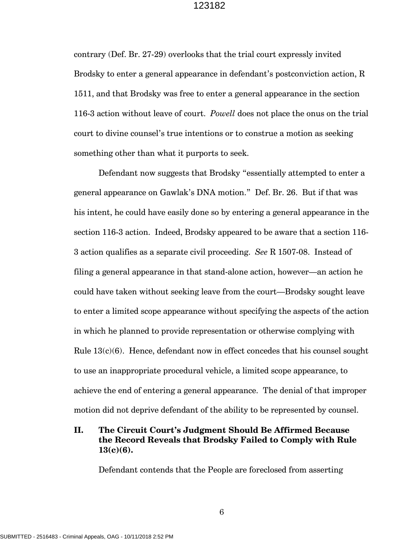contrary (Def. Br. 27-29) overlooks that the trial court expressly invited Brodsky to enter a general appearance in defendant's postconviction action, R 1511, and that Brodsky was free to enter a general appearance in the section 116-3 action without leave of court. *Powell* does not place the onus on the trial court to divine counsel's true intentions or to construe a motion as seeking something other than what it purports to seek.

Defendant now suggests that Brodsky "essentially attempted to enter a general appearance on Gawlak's DNA motion." Def. Br. 26. But if that was his intent, he could have easily done so by entering a general appearance in the section 116-3 action. Indeed, Brodsky appeared to be aware that a section 116- 3 action qualifies as a separate civil proceeding. *See* R 1507-08. Instead of filing a general appearance in that stand-alone action, however—an action he could have taken without seeking leave from the court—Brodsky sought leave to enter a limited scope appearance without specifying the aspects of the action in which he planned to provide representation or otherwise complying with Rule  $13(c)(6)$ . Hence, defendant now in effect concedes that his counsel sought to use an inappropriate procedural vehicle, a limited scope appearance, to achieve the end of entering a general appearance. The denial of that improper motion did not deprive defendant of the ability to be represented by counsel.

## **II. The Circuit Court's Judgment Should Be Affirmed Because the Record Reveals that Brodsky Failed to Comply with Rule 13(c)(6).**

Defendant contends that the People are foreclosed from asserting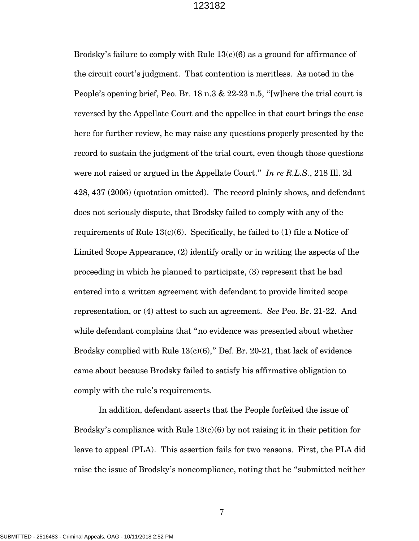Brodsky's failure to comply with Rule  $13(c)(6)$  as a ground for affirmance of the circuit court's judgment. That contention is meritless. As noted in the People's opening brief, Peo. Br. 18 n.3 & 22-23 n.5, "[w]here the trial court is reversed by the Appellate Court and the appellee in that court brings the case here for further review, he may raise any questions properly presented by the record to sustain the judgment of the trial court, even though those questions were not raised or argued in the Appellate Court." *In re R.L.S.*, 218 Ill. 2d 428, 437 (2006) (quotation omitted). The record plainly shows, and defendant does not seriously dispute, that Brodsky failed to comply with any of the requirements of Rule  $13(c)(6)$ . Specifically, he failed to (1) file a Notice of Limited Scope Appearance, (2) identify orally or in writing the aspects of the proceeding in which he planned to participate, (3) represent that he had entered into a written agreement with defendant to provide limited scope representation, or (4) attest to such an agreement. *See* Peo. Br. 21-22. And while defendant complains that "no evidence was presented about whether Brodsky complied with Rule  $13(c)(6)$ ," Def. Br. 20-21, that lack of evidence came about because Brodsky failed to satisfy his affirmative obligation to comply with the rule's requirements.

In addition, defendant asserts that the People forfeited the issue of Brodsky's compliance with Rule  $13(c)(6)$  by not raising it in their petition for leave to appeal (PLA). This assertion fails for two reasons. First, the PLA did raise the issue of Brodsky's noncompliance, noting that he "submitted neither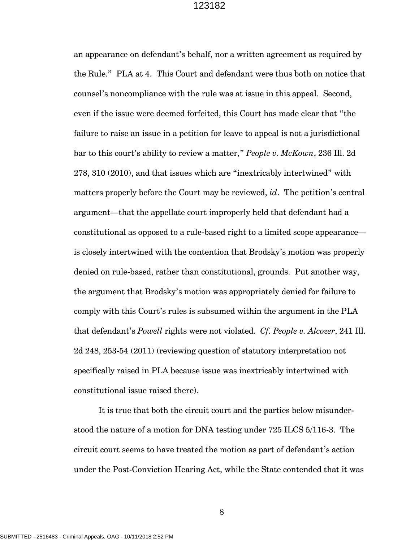an appearance on defendant's behalf, nor a written agreement as required by the Rule." PLA at 4. This Court and defendant were thus both on notice that counsel's noncompliance with the rule was at issue in this appeal. Second, even if the issue were deemed forfeited, this Court has made clear that "the failure to raise an issue in a petition for leave to appeal is not a jurisdictional bar to this court's ability to review a matter," *People v. McKown*, 236 Ill. 2d 278, 310 (2010), and that issues which are "inextricably intertwined" with matters properly before the Court may be reviewed, *id*. The petition's central argument—that the appellate court improperly held that defendant had a constitutional as opposed to a rule-based right to a limited scope appearance is closely intertwined with the contention that Brodsky's motion was properly denied on rule-based, rather than constitutional, grounds. Put another way, the argument that Brodsky's motion was appropriately denied for failure to comply with this Court's rules is subsumed within the argument in the PLA that defendant's *Powell* rights were not violated. *Cf. People v. Alcozer*, 241 Ill. 2d 248, 253-54 (2011) (reviewing question of statutory interpretation not specifically raised in PLA because issue was inextricably intertwined with constitutional issue raised there).

It is true that both the circuit court and the parties below misunderstood the nature of a motion for DNA testing under 725 ILCS 5/116-3. The circuit court seems to have treated the motion as part of defendant's action under the Post-Conviction Hearing Act, while the State contended that it was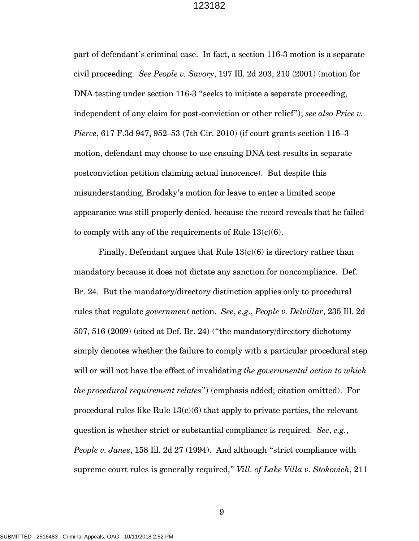part of defendant's criminal case. In fact, a section 116-3 motion is a separate civil proceeding. *See People v. Savory*, 197 Ill. 2d 203, 210 (2001) (motion for DNA testing under section 116-3 "seeks to initiate a separate proceeding, independent of any claim for post-conviction or other relief"); *see also Price v. Pierce*, 617 F.3d 947, 952–53 (7th Cir. 2010) (if court grants section 116–3 motion, defendant may choose to use ensuing DNA test results in separate postconviction petition claiming actual innocence). But despite this misunderstanding, Brodsky's motion for leave to enter a limited scope appearance was still properly denied, because the record reveals that he failed to comply with any of the requirements of Rule  $13(c)(6)$ .

Finally, Defendant argues that Rule  $13(c)(6)$  is directory rather than mandatory because it does not dictate any sanction for noncompliance. Def. Br. 24. But the mandatory/directory distinction applies only to procedural rules that regulate *government* action. *See*, *e.g.*, *People v. Delvillar*, 235 Ill. 2d 507, 516 (2009) (cited at Def. Br. 24) ("the mandatory/directory dichotomy simply denotes whether the failure to comply with a particular procedural step will or will not have the effect of invalidating *the governmental action to which the procedural requirement relates*") (emphasis added; citation omitted). For procedural rules like Rule  $13(c)(6)$  that apply to private parties, the relevant question is whether strict or substantial compliance is required. *See*, *e.g.*, *People v. Janes*, 158 Ill. 2d 27 (1994). And although "strict compliance with supreme court rules is generally required," *Vill. of Lake Villa v. Stokovich*, 211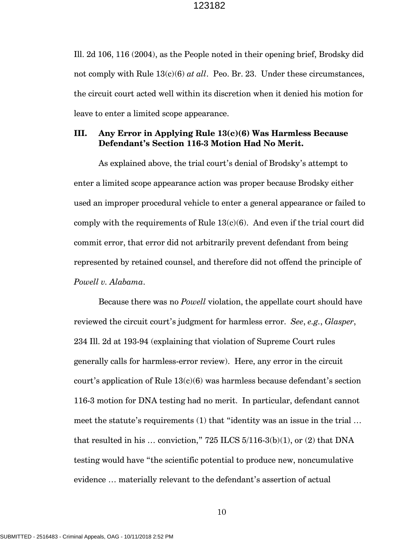Ill. 2d 106, 116 (2004), as the People noted in their opening brief, Brodsky did not comply with Rule 13(c)(6) *at all*. Peo. Br. 23. Under these circumstances, the circuit court acted well within its discretion when it denied his motion for leave to enter a limited scope appearance.

## **III. Any Error in Applying Rule 13(c)(6) Was Harmless Because Defendant's Section 116-3 Motion Had No Merit.**

As explained above, the trial court's denial of Brodsky's attempt to enter a limited scope appearance action was proper because Brodsky either used an improper procedural vehicle to enter a general appearance or failed to comply with the requirements of Rule  $13(c)(6)$ . And even if the trial court did commit error, that error did not arbitrarily prevent defendant from being represented by retained counsel, and therefore did not offend the principle of *Powell v. Alabama*.

Because there was no *Powell* violation, the appellate court should have reviewed the circuit court's judgment for harmless error. *See*, *e.g.*, *Glasper*, 234 Ill. 2d at 193-94 (explaining that violation of Supreme Court rules generally calls for harmless-error review). Here, any error in the circuit court's application of Rule  $13(c)(6)$  was harmless because defendant's section 116-3 motion for DNA testing had no merit. In particular, defendant cannot meet the statute's requirements (1) that "identity was an issue in the trial … that resulted in his  $\ldots$  conviction," 725 ILCS 5/116-3(b)(1), or (2) that DNA testing would have "the scientific potential to produce new, noncumulative evidence … materially relevant to the defendant's assertion of actual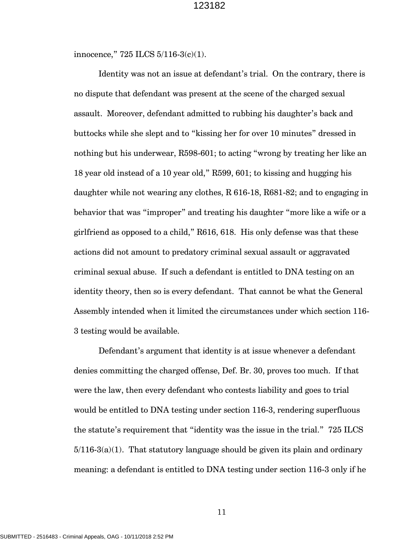innocence," 725 ILCS 5/116-3(c)(1).

Identity was not an issue at defendant's trial. On the contrary, there is no dispute that defendant was present at the scene of the charged sexual assault. Moreover, defendant admitted to rubbing his daughter's back and buttocks while she slept and to "kissing her for over 10 minutes" dressed in nothing but his underwear, R598-601; to acting "wrong by treating her like an 18 year old instead of a 10 year old," R599, 601; to kissing and hugging his daughter while not wearing any clothes, R 616-18, R681-82; and to engaging in behavior that was "improper" and treating his daughter "more like a wife or a girlfriend as opposed to a child," R616, 618. His only defense was that these actions did not amount to predatory criminal sexual assault or aggravated criminal sexual abuse. If such a defendant is entitled to DNA testing on an identity theory, then so is every defendant. That cannot be what the General Assembly intended when it limited the circumstances under which section 116- 3 testing would be available.

Defendant's argument that identity is at issue whenever a defendant denies committing the charged offense, Def. Br. 30, proves too much. If that were the law, then every defendant who contests liability and goes to trial would be entitled to DNA testing under section 116-3, rendering superfluous the statute's requirement that "identity was the issue in the trial." 725 ILCS  $5/116-3(a)(1)$ . That statutory language should be given its plain and ordinary meaning: a defendant is entitled to DNA testing under section 116-3 only if he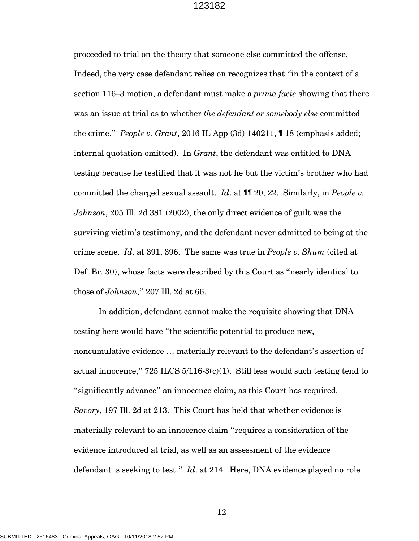proceeded to trial on the theory that someone else committed the offense. Indeed, the very case defendant relies on recognizes that "in the context of a section 116–3 motion, a defendant must make a *prima facie* showing that there was an issue at trial as to whether *the defendant or somebody else* committed the crime." *People v. Grant*, 2016 IL App (3d) 140211, ¶ 18 (emphasis added; internal quotation omitted). In *Grant*, the defendant was entitled to DNA testing because he testified that it was not he but the victim's brother who had committed the charged sexual assault. *Id*. at ¶¶ 20, 22. Similarly, in *People v. Johnson*, 205 Ill. 2d 381 (2002), the only direct evidence of guilt was the surviving victim's testimony, and the defendant never admitted to being at the crime scene. *Id*. at 391, 396. The same was true in *People v. Shum* (cited at Def. Br. 30), whose facts were described by this Court as "nearly identical to those of *Johnson*," 207 Ill. 2d at 66.

In addition, defendant cannot make the requisite showing that DNA testing here would have "the scientific potential to produce new, noncumulative evidence … materially relevant to the defendant's assertion of actual innocence,"  $725$  ILCS  $5/116-3(c)(1)$ . Still less would such testing tend to "significantly advance" an innocence claim, as this Court has required. *Savory*, 197 Ill. 2d at 213. This Court has held that whether evidence is materially relevant to an innocence claim "requires a consideration of the evidence introduced at trial, as well as an assessment of the evidence defendant is seeking to test." *Id*. at 214. Here, DNA evidence played no role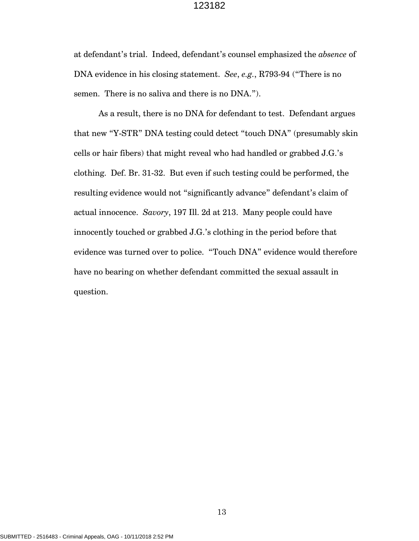at defendant's trial. Indeed, defendant's counsel emphasized the *absence* of DNA evidence in his closing statement. *See*, *e.g.*, R793-94 ("There is no semen. There is no saliva and there is no DNA.").

As a result, there is no DNA for defendant to test. Defendant argues that new "Y-STR" DNA testing could detect "touch DNA" (presumably skin cells or hair fibers) that might reveal who had handled or grabbed J.G.'s clothing. Def. Br. 31-32. But even if such testing could be performed, the resulting evidence would not "significantly advance" defendant's claim of actual innocence. *Savory*, 197 Ill. 2d at 213. Many people could have innocently touched or grabbed J.G.'s clothing in the period before that evidence was turned over to police. "Touch DNA" evidence would therefore have no bearing on whether defendant committed the sexual assault in question.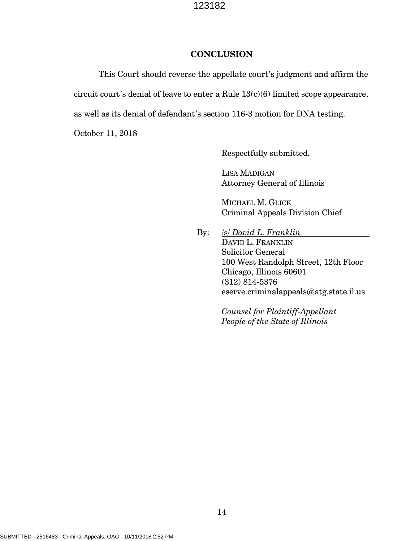### **CONCLUSION**

This Court should reverse the appellate court's judgment and affirm the circuit court's denial of leave to enter a Rule  $13(c)(6)$  limited scope appearance, as well as its denial of defendant's section 116-3 motion for DNA testing.

October 11, 2018

Respectfully submitted,

LISA MADIGAN Attorney General of Illinois

MICHAEL M. GLICK Criminal Appeals Division Chief

By: /s/ *David L. Franklin* DAVID L. FRANKLIN Solicitor General 100 West Randolph Street, 12th Floor Chicago, Illinois 60601 (312) 814-5376 eserve.criminalappeals@atg.state.il.us

> *Counsel for Plaintiff-Appellant People of the State of Illinois*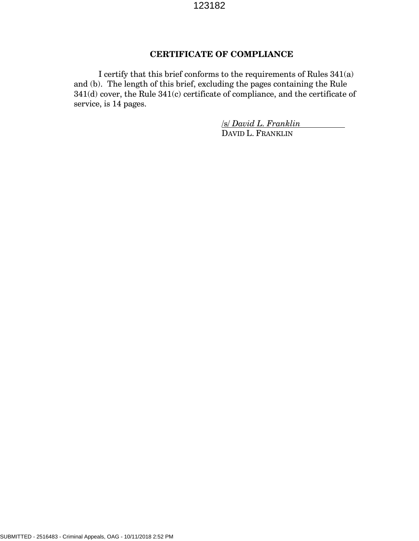## **CERTIFICATE OF COMPLIANCE**

 I certify that this brief conforms to the requirements of Rules 341(a) and (b). The length of this brief, excluding the pages containing the Rule 341(d) cover, the Rule 341(c) certificate of compliance, and the certificate of service, is 14 pages.

> /s/ *David L. Franklin* DAVID L. FRANKLIN